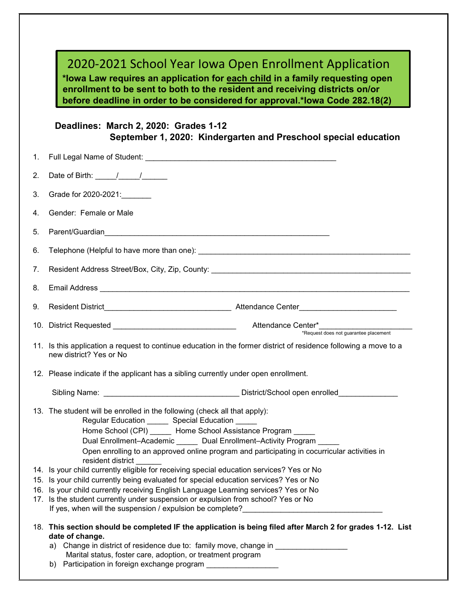|    | 2020-2021 School Year Iowa Open Enrollment Application<br>*lowa Law requires an application for each child in a family requesting open<br>enrollment to be sent to both to the resident and receiving districts on/or<br>before deadline in order to be considered for approval.*lowa Code 282.18(2)                                                                                                                                                                                                                                                                                                                                                                      |
|----|---------------------------------------------------------------------------------------------------------------------------------------------------------------------------------------------------------------------------------------------------------------------------------------------------------------------------------------------------------------------------------------------------------------------------------------------------------------------------------------------------------------------------------------------------------------------------------------------------------------------------------------------------------------------------|
|    | Deadlines: March 2, 2020: Grades 1-12<br>September 1, 2020: Kindergarten and Preschool special education                                                                                                                                                                                                                                                                                                                                                                                                                                                                                                                                                                  |
| 1. |                                                                                                                                                                                                                                                                                                                                                                                                                                                                                                                                                                                                                                                                           |
| 2. | Date of Birth: $\frac{1}{\sqrt{1-\frac{1}{2}}}\frac{1}{\sqrt{1-\frac{1}{2}}}}$                                                                                                                                                                                                                                                                                                                                                                                                                                                                                                                                                                                            |
| 3. | Grade for 2020-2021:                                                                                                                                                                                                                                                                                                                                                                                                                                                                                                                                                                                                                                                      |
| 4. | Gender: Female or Male                                                                                                                                                                                                                                                                                                                                                                                                                                                                                                                                                                                                                                                    |
| 5. | Parent/Guardian and the control of the control of the control of the control of the control of the control of the control of the control of the control of the control of the control of the control of the control of the con                                                                                                                                                                                                                                                                                                                                                                                                                                            |
| 6. |                                                                                                                                                                                                                                                                                                                                                                                                                                                                                                                                                                                                                                                                           |
| 7. |                                                                                                                                                                                                                                                                                                                                                                                                                                                                                                                                                                                                                                                                           |
| 8. |                                                                                                                                                                                                                                                                                                                                                                                                                                                                                                                                                                                                                                                                           |
| 9. |                                                                                                                                                                                                                                                                                                                                                                                                                                                                                                                                                                                                                                                                           |
|    | *Request does not guarantee placement                                                                                                                                                                                                                                                                                                                                                                                                                                                                                                                                                                                                                                     |
|    | 11. Is this application a request to continue education in the former district of residence following a move to a<br>new district? Yes or No                                                                                                                                                                                                                                                                                                                                                                                                                                                                                                                              |
|    | 12. Please indicate if the applicant has a sibling currently under open enrollment.                                                                                                                                                                                                                                                                                                                                                                                                                                                                                                                                                                                       |
|    |                                                                                                                                                                                                                                                                                                                                                                                                                                                                                                                                                                                                                                                                           |
|    | 13. The student will be enrolled in the following (check all that apply):<br>Regular Education ________ Special Education ______<br>Home School (CPI) ______ Home School Assistance Program _____<br>Dual Enrollment-Academic ______ Dual Enrollment-Activity Program __<br>Open enrolling to an approved online program and participating in cocurricular activities in<br>resident district<br>14. Is your child currently eligible for receiving special education services? Yes or No<br>15. Is your child currently being evaluated for special education services? Yes or No<br>16. Is your child currently receiving English Language Learning services? Yes or No |
|    | 17. Is the student currently under suspension or expulsion from school? Yes or No                                                                                                                                                                                                                                                                                                                                                                                                                                                                                                                                                                                         |
|    | 18. This section should be completed IF the application is being filed after March 2 for grades 1-12. List<br>date of change.<br>a) Change in district of residence due to: family move, change in<br>Marital status, foster care, adoption, or treatment program<br>b) Participation in foreign exchange program                                                                                                                                                                                                                                                                                                                                                         |